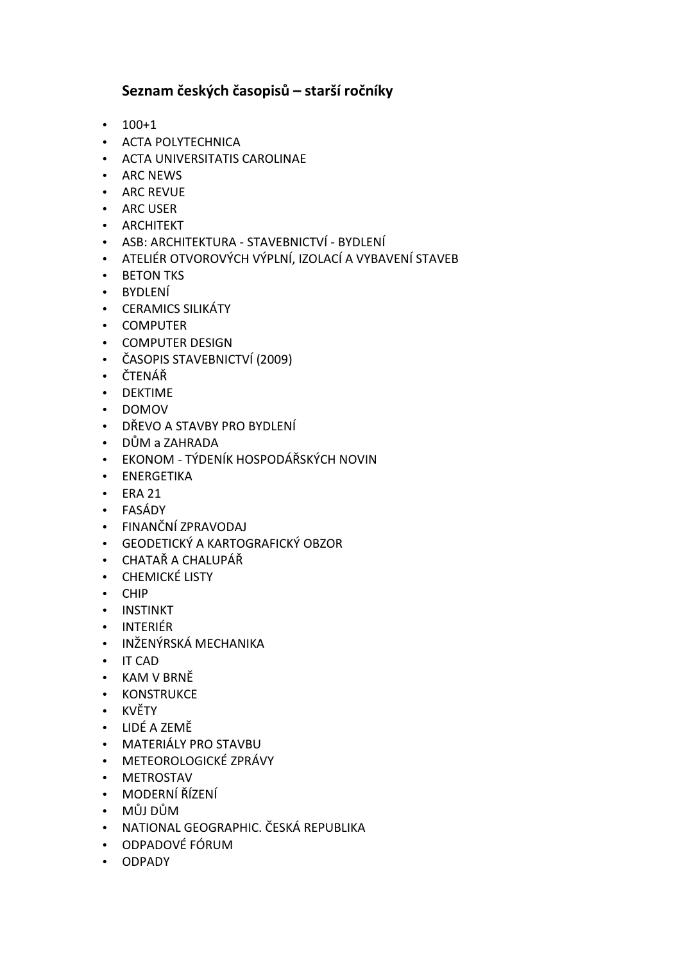## Seznam českých časopisů – starší ročníky

- 100+1
- ACTA POLYTECHNICA
- ACTA UNIVERSITATIS CAROLINAE
- ARC NEWS
- ARC REVUE
- ARC USER
- ARCHITEKT
- ASB: ARCHITEKTURA STAVEBNICTVÍ BYDLENÍ
- ATELIÉR OTVOROVÝCH VÝPLNÍ, IZOLACÍ A VYBAVENÍ STAVEB
- BETON TKS
- BYDLENÍ
- CERAMICS SILIKÁTY
- COMPUTER
- COMPUTER DESIGN
- ČASOPIS STAVEBNICTVÍ (2009)
- ČTENÁŘ
- DEKTIME
- DOMOV
- DŘEVO A STAVBY PRO BYDLENÍ
- DŮM a ZAHRADA
- EKONOM TÝDENÍK HOSPODÁŘSKÝCH NOVIN
- ENERGETIKA
- ERA 21
- FASÁDY
- FINANČNÍ ZPRAVODAJ
- GEODETICKÝ A KARTOGRAFICKÝ OBZOR
- CHATAŘ A CHALUPÁŘ
- CHEMICKÉ LISTY
- CHIP
- INSTINKT
- INTERIÉR
- INŽENÝRSKÁ MECHANIKA
- IT CAD
- KAM V BRNĚ
- KONSTRUKCE
- KVĚTY
- LIDÉ A ZEMĚ
- MATERIÁLY PRO STAVBU
- METEOROLOGICKÉ ZPRÁVY
- METROSTAV
- MODERNÍ ŘÍZENÍ
- MŮJ DŮM
- NATIONAL GEOGRAPHIC. ČESKÁ REPUBLIKA
- ODPADOVÉ FÓRUM
- ODPADY